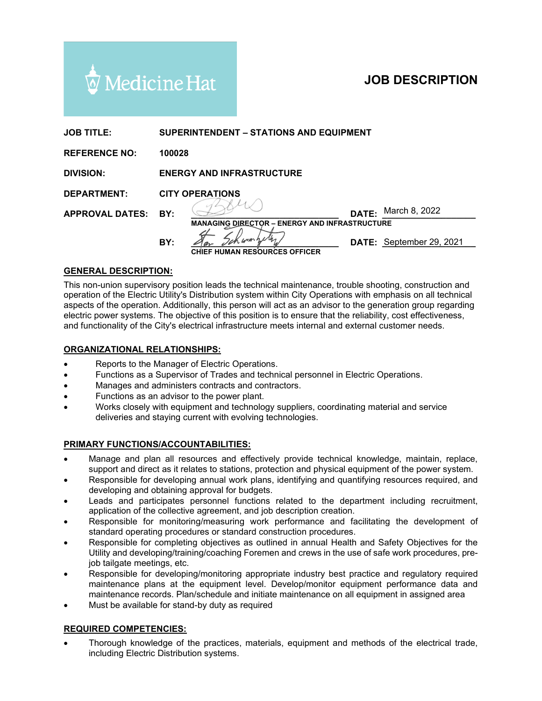

# **JOB DESCRIPTION**

| <b>JOB TITLE:</b>      | <b>SUPERINTENDENT – STATIONS AND EQUIPMENT</b>       |                                      |       |                          |
|------------------------|------------------------------------------------------|--------------------------------------|-------|--------------------------|
| <b>REFERENCE NO:</b>   | 100028                                               |                                      |       |                          |
| <b>DIVISION:</b>       | <b>ENERGY AND INFRASTRUCTURE</b>                     |                                      |       |                          |
| <b>DEPARTMENT:</b>     | <b>CITY OPERATIONS</b>                               |                                      |       |                          |
| <b>APPROVAL DATES:</b> | BY:                                                  |                                      | DATE: | March 8, 2022            |
|                        | <b>MANAGING DIRECTOR - ENERGY AND INFRASTRUCTURE</b> |                                      |       |                          |
|                        | BY:                                                  | Jek work<br>an                       |       | DATE: September 29, 2021 |
|                        |                                                      | <b>CHIEF HUMAN RESOURCES OFFICER</b> |       |                          |

## **GENERAL DESCRIPTION:**

This non-union supervisory position leads the technical maintenance, trouble shooting, construction and operation of the Electric Utility's Distribution system within City Operations with emphasis on all technical aspects of the operation. Additionally, this person will act as an advisor to the generation group regarding electric power systems. The objective of this position is to ensure that the reliability, cost effectiveness, and functionality of the City's electrical infrastructure meets internal and external customer needs.

### **ORGANIZATIONAL RELATIONSHIPS:**

- Reports to the Manager of Electric Operations.
- Functions as a Supervisor of Trades and technical personnel in Electric Operations.
- Manages and administers contracts and contractors.
- Functions as an advisor to the power plant.
- Works closely with equipment and technology suppliers, coordinating material and service deliveries and staying current with evolving technologies.

#### **PRIMARY FUNCTIONS/ACCOUNTABILITIES:**

- Manage and plan all resources and effectively provide technical knowledge, maintain, replace, support and direct as it relates to stations, protection and physical equipment of the power system.
- Responsible for developing annual work plans, identifying and quantifying resources required, and developing and obtaining approval for budgets.
- Leads and participates personnel functions related to the department including recruitment, application of the collective agreement, and job description creation.
- Responsible for monitoring/measuring work performance and facilitating the development of standard operating procedures or standard construction procedures.
- Responsible for completing objectives as outlined in annual Health and Safety Objectives for the Utility and developing/training/coaching Foremen and crews in the use of safe work procedures, prejob tailgate meetings, etc.
- Responsible for developing/monitoring appropriate industry best practice and regulatory required maintenance plans at the equipment level. Develop/monitor equipment performance data and maintenance records. Plan/schedule and initiate maintenance on all equipment in assigned area
- Must be available for stand-by duty as required

#### **REQUIRED COMPETENCIES:**

• Thorough knowledge of the practices, materials, equipment and methods of the electrical trade, including Electric Distribution systems.